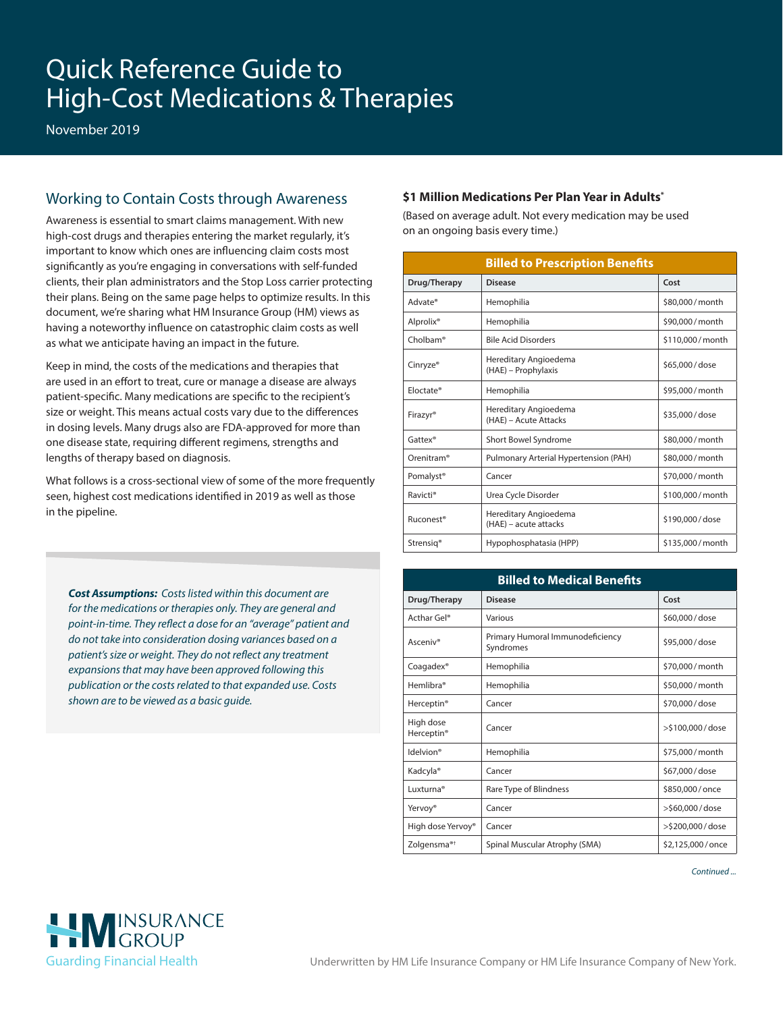# Quick Reference Guide to High-Cost Medications & Therapies

November 2019

## Working to Contain Costs through Awareness

Awareness is essential to smart claims management. With new high-cost drugs and therapies entering the market regularly, it's important to know which ones are influencing claim costs most significantly as you're engaging in conversations with self-funded clients, their plan administrators and the Stop Loss carrier protecting their plans. Being on the same page helps to optimize results. In this document, we're sharing what HM Insurance Group (HM) views as having a noteworthy influence on catastrophic claim costs as well as what we anticipate having an impact in the future.

Keep in mind, the costs of the medications and therapies that are used in an effort to treat, cure or manage a disease are always patient-specific. Many medications are specific to the recipient's size or weight. This means actual costs vary due to the differences in dosing levels. Many drugs also are FDA-approved for more than one disease state, requiring different regimens, strengths and lengths of therapy based on diagnosis.

What follows is a cross-sectional view of some of the more frequently seen, highest cost medications identified in 2019 as well as those in the pipeline.

*Cost Assumptions: Costs listed within this document are for the medications or therapies only. They are general and point-in-time. They reflect a dose for an "average" patient and do not take into consideration dosing variances based on a patient's size or weight. They do not reflect any treatment expansions that may have been approved following this publication or the costs related to that expanded use. Costs shown are to be viewed as a basic guide.*

#### **\$1 Million Medications Per Plan Year in Adults\***

(Based on average adult. Not every medication may be used on an ongoing basis every time.)

| <b>Billed to Prescription Benefits</b> |                                                |                 |  |
|----------------------------------------|------------------------------------------------|-----------------|--|
| Drug/Therapy                           | <b>Disease</b>                                 | Cost            |  |
| Advate®                                | Hemophilia                                     | \$80,000/month  |  |
| Alprolix <sup>®</sup>                  | Hemophilia                                     | \$90,000/month  |  |
| Cholbam <sup>®</sup>                   | <b>Bile Acid Disorders</b>                     | \$110,000/month |  |
| Cinryze <sup>®</sup>                   | Hereditary Angioedema<br>(HAE) - Prophylaxis   | \$65,000/dose   |  |
| Floctate®                              | Hemophilia                                     | \$95,000/month  |  |
| Firazyr®                               | Hereditary Angioedema<br>(HAE) - Acute Attacks | \$35,000/dose   |  |
| Gattex <sup>®</sup>                    | Short Bowel Syndrome                           | \$80,000/month  |  |
| Orenitram <sup>®</sup>                 | Pulmonary Arterial Hypertension (PAH)          | \$80,000/month  |  |
| Pomalyst <sup>®</sup>                  | Cancer                                         | \$70,000/month  |  |
| Ravicti <sup>®</sup>                   | Urea Cycle Disorder                            | \$100,000/month |  |
| Ruconest <sup>®</sup>                  | Hereditary Angioedema<br>(HAE) - acute attacks | \$190,000/dose  |  |
| Strensig <sup>®</sup>                  | Hypophosphatasia (HPP)                         | \$135,000/month |  |

| <b>Billed to Medical Benefits</b>   |                                               |                      |  |
|-------------------------------------|-----------------------------------------------|----------------------|--|
| Drug/Therapy                        | <b>Disease</b>                                | Cost                 |  |
| Acthar Gel <sup>®</sup>             | Various                                       | \$60,000/dose        |  |
| Asceniv®                            | Primary Humoral Immunodeficiency<br>Syndromes | \$95,000/dose        |  |
| Coagadex <sup>®</sup>               | Hemophilia                                    | \$70,000/month       |  |
| Hemlibra <sup>®</sup>               | Hemophilia                                    | \$50,000/month       |  |
| Herceptin <sup>®</sup>              | Cancer                                        | \$70,000/dose        |  |
| High dose<br>Herceptin <sup>®</sup> | Cancer                                        | $>$ \$100,000 / dose |  |
| Idelvion®                           | Hemophilia                                    | \$75,000/month       |  |
| Kadcyla <sup>®</sup>                | Cancer                                        | \$67,000/dose        |  |
| Luxturna <sup>®</sup>               | Rare Type of Blindness                        | \$850,000/once       |  |
| Yervoy <sup>®</sup>                 | Cancer                                        | >\$60,000/dose       |  |
| High dose Yervoy®                   | Cancer                                        | >\$200,000/dose      |  |
| Zolgensma <sup>®†</sup>             | Spinal Muscular Atrophy (SMA)                 | \$2,125,000/once     |  |

*Continued ...*

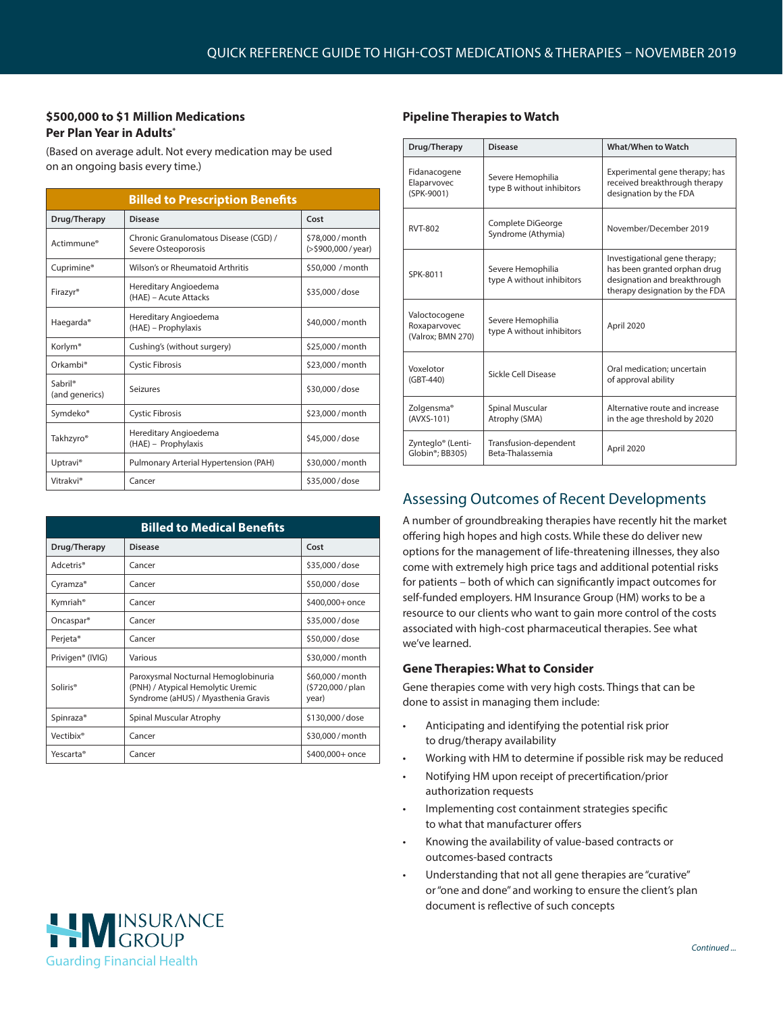## **\$500,000 to \$1 Million Medications Per Plan Year in Adults\***

(Based on average adult. Not every medication may be used on an ongoing basis every time.)

| <b>Billed to Prescription Benefits</b> |                                                              |                                              |  |  |
|----------------------------------------|--------------------------------------------------------------|----------------------------------------------|--|--|
| Drug/Therapy                           | <b>Disease</b>                                               | Cost                                         |  |  |
| Actimmune <sup>®</sup>                 | Chronic Granulomatous Disease (CGD) /<br>Severe Osteoporosis | \$78,000/month<br>$(>\frac{5000,000}{year})$ |  |  |
| Cuprimine <sup>®</sup>                 | Wilson's or Rheumatoid Arthritis                             | \$50,000 / month                             |  |  |
| Firazyr <sup>®</sup>                   | Hereditary Angioedema<br>(HAE) - Acute Attacks               | \$35,000/dose                                |  |  |
| Haegarda <sup>®</sup>                  | Hereditary Angioedema<br>(HAE) – Prophylaxis                 | \$40,000/month                               |  |  |
| Korlym <sup>®</sup>                    | Cushing's (without surgery)                                  | \$25,000/month                               |  |  |
| Orkambi <sup>®</sup>                   | <b>Cystic Fibrosis</b>                                       | \$23,000/month                               |  |  |
| Sabril <sup>®</sup><br>(and generics)  | Seizures<br>\$30,000/dose                                    |                                              |  |  |
| Symdeko®                               | <b>Cystic Fibrosis</b>                                       | \$23,000/month                               |  |  |
| Takhzyro <sup>®</sup>                  | Hereditary Angioedema<br>(HAE) - Prophylaxis                 | \$45,000/dose                                |  |  |
| Uptravi <sup>®</sup>                   | Pulmonary Arterial Hypertension (PAH)                        | \$30,000/month                               |  |  |
| Vitrakvi®                              | Cancer                                                       | \$35,000/dose                                |  |  |

| <b>Billed to Medical Benefits</b> |                                                                                                                 |                                              |  |
|-----------------------------------|-----------------------------------------------------------------------------------------------------------------|----------------------------------------------|--|
| Drug/Therapy                      | Disease                                                                                                         | Cost                                         |  |
| Adcetris <sup>®</sup>             | Cancer                                                                                                          | \$35,000/dose                                |  |
| Cyramza <sup>®</sup>              | Cancer                                                                                                          | \$50,000/dose                                |  |
| Kymriah®                          | Cancer                                                                                                          | \$400,000+ once                              |  |
| Oncaspar <sup>®</sup>             | Cancer                                                                                                          | \$35,000/dose                                |  |
| Perjeta <sup>®</sup>              | Cancer                                                                                                          | \$50,000/dose                                |  |
| Privigen® (IVIG)                  | Various                                                                                                         | \$30,000/month                               |  |
| Soliris <sup>®</sup>              | Paroxysmal Nocturnal Hemoglobinuria<br>(PNH) / Atypical Hemolytic Uremic<br>Syndrome (aHUS) / Myasthenia Gravis | \$60,000/month<br>(\$720,000 / plan<br>year) |  |
| Spinraza <sup>®</sup>             | Spinal Muscular Atrophy                                                                                         | \$130,000/dose                               |  |
| Vectibix <sup>®</sup>             | Cancer                                                                                                          | \$30,000/month                               |  |
| Yescarta®                         | Cancer                                                                                                          | \$400,000+ once                              |  |

#### **Pipeline Therapies to Watch**

| Drug/Therapy                                                  | Disease                                        | <b>What/When to Watch</b>                                                                                                       |
|---------------------------------------------------------------|------------------------------------------------|---------------------------------------------------------------------------------------------------------------------------------|
| Fidanacogene<br>Elaparvovec<br>(SPK-9001)                     | Severe Hemophilia<br>type B without inhibitors | Experimental gene therapy; has<br>received breakthrough therapy<br>designation by the FDA                                       |
| <b>RVT-802</b>                                                | Complete DiGeorge<br>Syndrome (Athymia)        | November/December 2019                                                                                                          |
| SPK-8011                                                      | Severe Hemophilia<br>type A without inhibitors | Investigational gene therapy;<br>has been granted orphan drug<br>designation and breakthrough<br>therapy designation by the FDA |
| Valoctocogene<br>Roxaparvovec<br>(Valrox: BMN 270)            | Severe Hemophilia<br>type A without inhibitors | April 2020                                                                                                                      |
| Voxelotor<br>(GBT-440)                                        | Sickle Cell Disease                            | Oral medication; uncertain<br>of approval ability                                                                               |
| Zolgensma <sup>®</sup><br>(AVXS-101)                          | Spinal Muscular<br>Atrophy (SMA)               | Alternative route and increase<br>in the age threshold by 2020                                                                  |
| Zynteglo <sup>®</sup> (Lenti-<br>Globin <sup>®</sup> : BB305) | Transfusion-dependent<br>Beta-Thalassemia      | April 2020                                                                                                                      |

# Assessing Outcomes of Recent Developments

A number of groundbreaking therapies have recently hit the market offering high hopes and high costs. While these do deliver new options for the management of life-threatening illnesses, they also come with extremely high price tags and additional potential risks for patients – both of which can significantly impact outcomes for self-funded employers. HM Insurance Group (HM) works to be a resource to our clients who want to gain more control of the costs associated with high-cost pharmaceutical therapies. See what we've learned.

## **Gene Therapies: What to Consider**

Gene therapies come with very high costs. Things that can be done to assist in managing them include:

- Anticipating and identifying the potential risk prior to drug/therapy availability
- Working with HM to determine if possible risk may be reduced
- Notifying HM upon receipt of precertification/prior authorization requests
- Implementing cost containment strategies specific to what that manufacturer offers
- Knowing the availability of value-based contracts or outcomes-based contracts
- Understanding that not all gene therapies are "curative" or "one and done" and working to ensure the client's plan document is reflective of such concepts